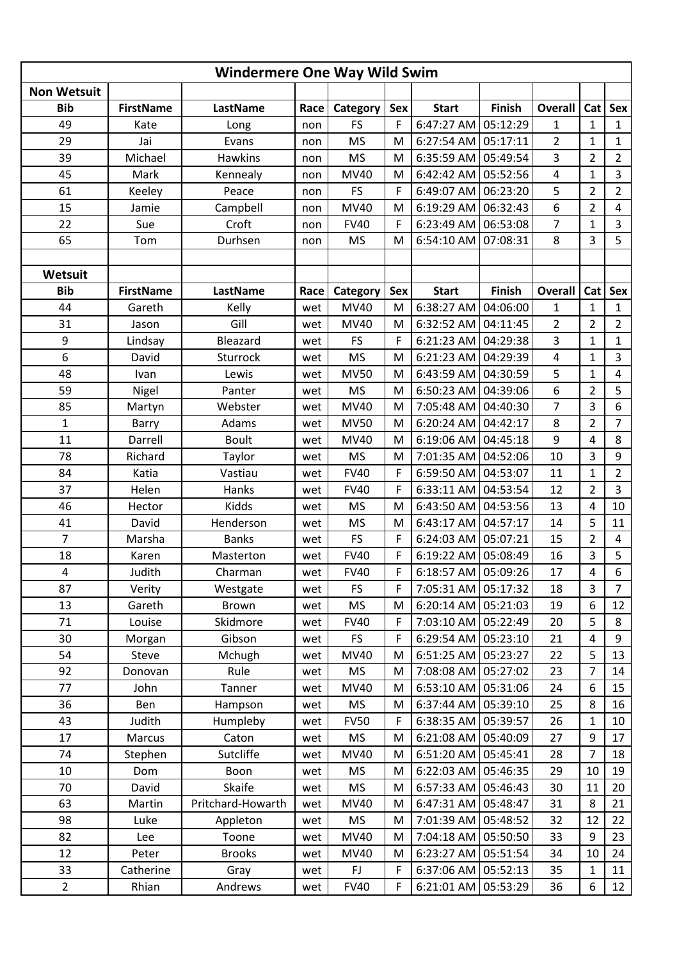| <b>Windermere One Way Wild Swim</b> |                  |                   |      |             |             |                     |               |                |                |                 |  |  |
|-------------------------------------|------------------|-------------------|------|-------------|-------------|---------------------|---------------|----------------|----------------|-----------------|--|--|
| <b>Non Wetsuit</b>                  |                  |                   |      |             |             |                     |               |                |                |                 |  |  |
| <b>Bib</b>                          | <b>FirstName</b> | LastName          | Race | Category    | <b>Sex</b>  | <b>Start</b>        | Finish        | <b>Overall</b> | Cat            | Sex             |  |  |
| 49                                  | Kate             | Long              | non  | <b>FS</b>   | F           | 6:47:27 AM          | 05:12:29      | 1              | $\mathbf{1}$   | $\mathbf{1}$    |  |  |
| 29                                  | Jai              | Evans             | non  | <b>MS</b>   | M           | 6:27:54 AM          | 05:17:11      | $\overline{2}$ | $\mathbf{1}$   | $\mathbf{1}$    |  |  |
| 39                                  | Michael          | <b>Hawkins</b>    | non  | <b>MS</b>   | M           | 6:35:59 AM          | 05:49:54      | 3              | $\overline{2}$ | $\overline{2}$  |  |  |
| 45                                  | Mark             | Kennealy          | non  | MV40        | M           | 6:42:42 AM          | 05:52:56      | 4              | $\mathbf{1}$   | $\overline{3}$  |  |  |
| 61                                  | Keeley           | Peace             | non  | FS          | $\mathsf F$ | 6:49:07 AM          | 06:23:20      | 5              | $\overline{2}$ | $\overline{2}$  |  |  |
| 15                                  | Jamie            | Campbell          | non  | MV40        | M           | 6:19:29 AM          | 06:32:43      | 6              | $\overline{2}$ | $\overline{4}$  |  |  |
| 22                                  | Sue              | Croft             | non  | <b>FV40</b> | F           | 6:23:49 AM          | 06:53:08      | $\overline{7}$ | 1              | 3               |  |  |
| 65                                  | Tom              | Durhsen           | non  | <b>MS</b>   | M           | 6:54:10 AM          | 07:08:31      | 8              | 3              | 5               |  |  |
|                                     |                  |                   |      |             |             |                     |               |                |                |                 |  |  |
| Wetsuit                             |                  |                   |      |             |             |                     |               |                |                |                 |  |  |
| <b>Bib</b>                          | <b>FirstName</b> | LastName          | Race | Category    | <b>Sex</b>  | <b>Start</b>        | <b>Finish</b> | <b>Overall</b> | Cat            | <b>Sex</b>      |  |  |
| 44                                  | Gareth           | Kelly             | wet  | MV40        | M           | 6:38:27 AM          | 04:06:00      | 1              | 1              | $\mathbf{1}$    |  |  |
| 31                                  | Jason            | Gill              | wet  | MV40        | M           | 6:32:52 AM          | 04:11:45      | $\overline{2}$ | $\overline{2}$ | $\overline{2}$  |  |  |
| 9                                   | Lindsay          | Bleazard          | wet  | <b>FS</b>   | F           | 6:21:23 AM          | 04:29:38      | 3              | 1              | $\mathbf{1}$    |  |  |
| 6                                   | David            | Sturrock          | wet  | <b>MS</b>   | M           | 6:21:23 AM          | 04:29:39      | 4              | $\mathbf{1}$   | 3               |  |  |
| 48                                  | Ivan             | Lewis             | wet  | <b>MV50</b> | M           | 6:43:59 AM          | 04:30:59      | 5              | $\mathbf{1}$   | $\overline{4}$  |  |  |
| 59                                  | Nigel            | Panter            | wet  | <b>MS</b>   | M           | 6:50:23 AM          | 04:39:06      | 6              | $\overline{2}$ | 5               |  |  |
| 85                                  | Martyn           | Webster           | wet  | MV40        | M           | 7:05:48 AM          | 04:40:30      | $\overline{7}$ | 3              | 6               |  |  |
| $\mathbf{1}$                        | Barry            | Adams             | wet  | <b>MV50</b> | M           | 6:20:24 AM          | 04:42:17      | 8              | $\overline{2}$ | $\overline{7}$  |  |  |
| 11                                  | Darrell          | <b>Boult</b>      | wet  | MV40        | M           | 6:19:06 AM          | 04:45:18      | 9              | $\overline{4}$ | 8               |  |  |
| 78                                  | Richard          | Taylor            | wet  | <b>MS</b>   | M           | 7:01:35 AM          | 04:52:06      | 10             | 3              | 9               |  |  |
| 84                                  | Katia            | Vastiau           | wet  | <b>FV40</b> | F           | 6:59:50 AM          | 04:53:07      | 11             | $\mathbf{1}$   | $\overline{2}$  |  |  |
| 37                                  | Helen            | Hanks             | wet  | <b>FV40</b> | F           | 6:33:11 AM          | 04:53:54      | 12             | $\overline{2}$ | 3               |  |  |
| 46                                  | Hector           | Kidds             | wet  | <b>MS</b>   | M           | 6:43:50 AM          | 04:53:56      | 13             | 4              | 10              |  |  |
| 41                                  | David            | Henderson         | wet  | <b>MS</b>   | M           | 6:43:17 AM          | 04:57:17      | 14             | 5              | 11              |  |  |
| $\overline{7}$                      | Marsha           | <b>Banks</b>      | wet  | <b>FS</b>   | F           | 6:24:03 AM          | 05:07:21      | 15             | $\overline{2}$ | 4               |  |  |
| 18                                  | Karen            | Masterton         | wet  | <b>FV40</b> | F           | $6:19:22$ AM        | 05:08:49      | 16             | 3              | 5               |  |  |
| 4                                   | Judith           | Charman           | wet  | <b>FV40</b> | F.          | 6:18:57 AM 05:09:26 |               | 17             | $\overline{4}$ | $6\overline{6}$ |  |  |
| 87                                  | Verity           | Westgate          | wet  | <b>FS</b>   | F           | 7:05:31 AM          | 05:17:32      | 18             | 3              | $\overline{7}$  |  |  |
| 13                                  | Gareth           | <b>Brown</b>      | wet  | <b>MS</b>   | M           | 6:20:14 AM          | 05:21:03      | 19             | 6              | 12              |  |  |
| 71                                  | Louise           | Skidmore          | wet  | <b>FV40</b> | $\mathsf F$ | 7:03:10 AM          | 05:22:49      | 20             | 5              | 8               |  |  |
| 30                                  | Morgan           | Gibson            | wet  | <b>FS</b>   | F           | 6:29:54 AM          | 05:23:10      | 21             | $\overline{4}$ | 9               |  |  |
| 54                                  | Steve            | Mchugh            | wet  | MV40        | M           | 6:51:25 AM          | 05:23:27      | 22             | 5              | 13              |  |  |
| 92                                  | Donovan          | Rule              | wet  | <b>MS</b>   | M           | 7:08:08 AM          | 05:27:02      | 23             | $\overline{7}$ | 14              |  |  |
| 77                                  | John             | Tanner            | wet  | MV40        | M           | 6:53:10 AM          | 05:31:06      | 24             | 6              | 15              |  |  |
| 36                                  | Ben              | Hampson           | wet  | MS          | M           | 6:37:44 AM          | 05:39:10      | 25             | 8              | 16              |  |  |
| 43                                  | Judith           | Humpleby          | wet  | <b>FV50</b> | F           | 6:38:35 AM          | 05:39:57      | 26             | $\mathbf{1}$   | 10              |  |  |
| 17                                  | Marcus           | Caton             | wet  | <b>MS</b>   | M           | 6:21:08 AM          | 05:40:09      | 27             | 9              | 17              |  |  |
| 74                                  | Stephen          | Sutcliffe         | wet  | MV40        | M           | 6:51:20 AM          | 05:45:41      | 28             | $\overline{7}$ | 18              |  |  |
| 10                                  | Dom              | Boon              | wet  | <b>MS</b>   | M           | 6:22:03 AM          | 05:46:35      | 29             | 10             | 19              |  |  |
| 70                                  | David            | Skaife            | wet  | <b>MS</b>   | M           | 6:57:33 AM          | 05:46:43      | 30             | 11             | 20              |  |  |
| 63                                  | Martin           | Pritchard-Howarth | wet  | MV40        | M           | 6:47:31 AM          | 05:48:47      | 31             | 8              | 21              |  |  |
| 98                                  | Luke             | Appleton          | wet  | MS          | M           | 7:01:39 AM          | 05:48:52      | 32             | 12             | 22              |  |  |
| 82                                  | Lee              | Toone             | wet  | MV40        | M           | 7:04:18 AM          | 05:50:50      | 33             | 9              | 23              |  |  |
| 12                                  | Peter            | <b>Brooks</b>     | wet  | MV40        | M           | 6:23:27 AM          | 05:51:54      | 34             | 10             | 24              |  |  |
| 33                                  | Catherine        | Gray              | wet  | FJ.         | $\mathsf F$ | 6:37:06 AM          | 05:52:13      | 35             | $\mathbf{1}$   | 11              |  |  |
| $\overline{2}$                      | Rhian            | Andrews           | wet  | <b>FV40</b> | F           | 6:21:01 AM          | 05:53:29      | 36             | 6              | 12              |  |  |